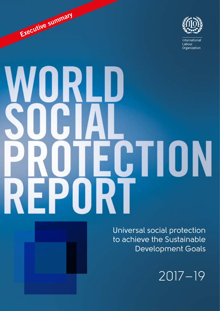

International Labour Organization

# JRI \_U CTION

Executive summary

Universal social protection to achieve the Sustainable Development Goals

2017–19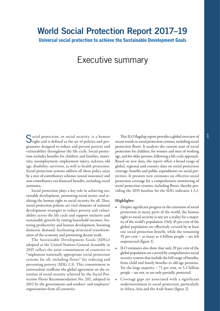Universal social protection to achieve the Sustainable Development Goals

# Executive summary

Social protection, or social security, is a human This ILO flagship report provides a global overview of  $\Gamma$  right and is defined as the set of policies and pro- recent trends in social protection systems, including socia **O**right and is defined as the set of policies and programmes designed to reduce and prevent poverty and vulnerability throughout the life cycle. Social protection includes benefits for children and families, maternity, unemployment, employment injury, sickness, old age, disability, survivors, as well as health protection. Social protection systems address all these policy areas by a mix of contributory schemes (social insurance) and non-contributory tax-financed benefits, including social assistance.

Social protection plays a key role in achieving sustainable development, promoting social justice and realizing the human right to social security for all. Thus, social protection policies are vital elements of national development strategies to reduce poverty and vulnerability across the life cycle and support inclusive and sustainable growth by raising household incomes, fostering productivity and human development, boosting domestic demand, facilitating structural transformation of the economy and promoting decent work.

The Sustainable Development Goals (SDGs) adopted at the United Nations General Assembly in 2015 reflect the joint commitment of countries to "implement nationally appropriate social protection systems for all, including floors" for reducing and preventing poverty (SDG 1.3). This commitment to universalism reaffirms the global agreement on the extension of social security achieved by the Social Protection Floors Recommendation No. 202, adopted in 2012 by the governments and workers' and employers' organizations from all countries.

This ILO flagship report provides a global overview of protection floors. It analyses the current state of social protection for children, for women and men of working age, and for older persons, following a life-cycle approach. Based on new data, the report offers a broad range of global, regional and country data on social protection coverage, benefits and public expenditures on social protection. It presents new estimates on effective social protection coverage for a comprehensive monitoring of social protection systems, including floors, thereby providing the 2015 baseline for the SDG indicator 1.3.1.

### Highlights:

- Despite significant progress in the extension of social protection in many parts of the world, the human right to social security is not yet a reality for a majority of the world's population. Only 45 per cent of the global population are effectively covered by at least one social protection benefit, while the remaining 55 per cent – as many as 4 billion people – are left unprotected (figure 1).
- ILO estimates also show that only 29 per cent of the global population are covered by comprehensive social security systems that include the full range of benefits, from child and family benefits to old-age pensions. Yet the large majority – 71 per cent, or 5.2 billion people – are not, or are only partially, protected.
- Coverage gaps are associated with a significant underinvestment in social protection, particularly in Africa, Asia and the Arab States (figure 2).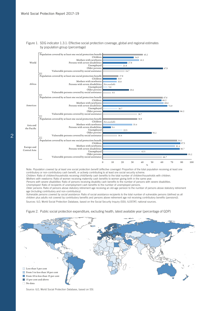

Figure 1. SDG indicator 1.3.1: Effective social protection coverage, global and regional estimates by population group (percentage)

Note: Population covered by at least one social protection benefit (effective coverage): Proportion of the total population receiving at least one contributory or non‑contributory cash benefit, or actively contributing to at least one social security scheme. Children: Ratio of children/households receiving child/family cash benefits to the total number of children/households with children.

Mothers with newborns: Ratio of women receiving maternity cash benefits to women giving birth in the same year. Persons with severe disabilities: Ratio of persons receiving disability cash benefits to the number of persons with severe disabilities.

Unemployed: Ratio of recipients of unemployment cash benefits to the number of unemployed persons.

Older persons: Ratio of persons above statutory retirement age receiving an old-age pension to the number of persons above statutory retirement age (including contributory and non-contributory).

Vulnerable persons covered by social assistance: Ratio of social assistance recipients to the total number of vulnerable persons (defined as all children plus adults not covered by contributory benefits and persons above retirement age not receiving contributory benefits (pensions)). Sources: ILO, World Social Protection Database, based on the Social Security Inquiry (SSI); ILOSTAT; national sources.



Figure 2. Public social protection expenditure, excluding health, latest available year (percentage of GDP)

Source: ILO, World Social Protection Database, based on SSI.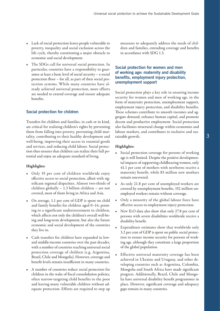- Lack of social protection leaves people vulnerable to poverty, inequality and social exclusion across the life cycle, thereby constituting a major obstacle to economic and social development.
- The SDGs call for universal social protection. In particular, countries have a responsibility to guarantee at least a basic level of social security – a social protection floor – for all, as part of their social protection systems. While many countries have already achieved universal protection, more efforts are needed to extend coverage and ensure adequate benefits.

#### Social protection for children

Transfers for children and families, in cash or in kind, are critical for realizing children's rights by preventing them from falling into poverty, preventing child mortality, contributing to their healthy development and well-being, improving their access to essential goods and services, and reducing child labour. Social protection thus ensures that children can realize their full potential and enjoy an adequate standard of living.

#### Highlights:

- Only 35 per cent of children worldwide enjoy effective access to social protection, albeit with significant regional disparities. Almost two-thirds of children globally – 1.3 billion children – are not covered, most of them living in Africa and Asia.
- On average, 1.1 per cent of GDP is spent on child and family benefits for children aged 0–14, pointing to a significant underinvestment in children, which affects not only the children's overall well-being and long-term development, but also the future economic and social development of the countries they live in.
- Cash transfers for children have expanded in lowand middle-income countries over the past decades, with a number of countries reaching universal social protection coverage of children (e.g. Argentina, Brazil, Chile and Mongolia). However, coverage and benefit levels remain insufficient in many countries.
- A number of countries reduce social protection for children in the wake of fiscal consolidation policies, often narrow-targeting child benefits to the poor and leaving many vulnerable children without adequate protection. Efforts are required to step up

measures to adequately address the needs of children and families, extending coverage and benefits in accordance with SDG 1.3.

# Social protection for women and men of working age: maternity and disability benefits, employment injury protection, unemployment support

Social protection plays a key role in ensuring income security for women and men of working age, in the form of maternity protection, unemployment support, employment injury protection, and disability benefits. These schemes contribute to smooth incomes and aggregate demand, enhance human capital, and promote decent and productive employment. Social protection also facilitates structural change within economies and labour markets, and contributes to inclusive and sustainable growth.

#### Highlights:

- Social protection coverage for persons of working age is still limited. Despite the positive developmental impacts of supporting childbearing women, only 41.1 per cent of mothers with newborns receive a maternity benefit, while 83 million new mothers remain uncovered.
- As only 21.8 per cent of unemployed workers are covered by unemployment benefits, 152 million unemployed workers remain without coverage.
- Only a minority of the global labour force have effective access to employment injury protection.
- New ILO data also show that only 27.8 per cent of persons with severe disabilities worldwide receive a disability benefit.
- Expenditure estimates show that worldwide only 3.2 per cent of GDP is spent on public social protection to ensure income security for persons of working age, although they constitute a large proportion of the global population.
- Effective universal maternity coverage has been achieved in Ukraine and Uruguay, and other developing countries such as Argentina, Colombia, Mongolia and South Africa have made significant progress. Additionally, Brazil, Chile and Mongolia have universal disability benefit programmes in place. However, significant coverage and adequacy gaps remain in many countries.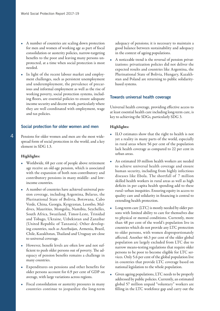- A number of countries are scaling down protection for men and women of working age as part of fiscal consolidation or austerity policies, narrow-targeting benefits to the poor and leaving many persons unprotected, at a time when social protection is most needed.
- In light of the recent labour market and employment challenges, such as persistent unemployment and underemployment, the prevalence of precarious and informal employment as well as the rise of working poverty, social protection systems, including floors, are essential policies to ensure adequate income security and decent work, particularly where they are well coordinated with employment, wage and tax policies.

#### Social protection for older women and men

Pensions for older women and men are the most widespread form of social protection in the world, and a key element in SDG 1.3.

#### Highlights:

- Worldwide, 68 per cent of people above retirement age receive an old-age pension, which is associated with the expansion of both non-contributory and contributory pensions in many middle- and lowincome countries.
- A number of countries have achieved universal pension coverage, including Argentina, Belarus, the Plurinational State of Bolivia, Botswana, Cabo Verde, China, Georgia, Kyrgyzstan, Lesotho, Maldives, Mauritius, Mongolia, Namibia, Seychelles, South Africa, Swaziland, Timor-Leste, Trinidad and Tobago, Ukraine, Uzbekistan and Zanzibar (United Republic of Tanzania). Other developing countries, such as Azerbaijan, Armenia, Brazil, Chile, Kazakhstan, Thailand and Uruguay are close to universal coverage.
- However, benefit levels are often low and not sufficient to push older persons out of poverty. The adequacy of pension benefits remains a challenge in many countries.
- Expenditures on pensions and other benefits for older persons account for 6.9 per cent of GDP on average, with large variations across regions.
- Fiscal consolidation or austerity pressures in many countries continue to jeopardize the long-term

adequacy of pensions; it is necessary to maintain a good balance between sustainability and adequacy in the context of ageing populations.

• A noticeable trend is the reversal of pension privatizations: privatization policies did not deliver the expected results and countries like Argentina, the Plurinational State of Bolivia, Hungary, Kazakhstan and Poland are returning to public solidaritybased systems.

#### Towards universal health coverage

Universal health coverage, providing effective access to at least essential health care including long-term care, is key to achieving the SDGs, particularly SDG 3.

#### Highlights:

- ILO estimates show that the right to health is not yet a reality in many parts of the world, especially in rural areas where 56 per cent of the population lack health coverage as compared to 22 per cent in urban areas.
- An estimated 10 million health workers are needed to achieve universal health coverage and ensure human security, including from highly infectious diseases like Ebola. The shortfall of 7 million skilled health workers in rural areas as well as high deficits in per capita health spending add to these rural–urban inequities. Ensuring equity in access to quality care and solidarity in financing is central to extending health protection.
- Long-term care (LTC) is mostly needed by older persons with limited ability to care for themselves due to physical or mental conditions. Currently, more than 48 per cent of the world's population live in countries which do not provide any LTC protection to older persons, with women disproportionately affected. Another 46.3 per cent of the older global population are largely excluded from LTC due to narrow means-testing regulations that require older persons to be poor to become eligible for LTC services. Only 5.6 per cent of the global population live in countries that provide LTC coverage based on national legislation to the whole population.
- Given ageing populations, LTC needs to be properly addressed by public policies. Currently, an estimated global 57 million unpaid "voluntary" workers are filling in the LTC workforce gap and carry out the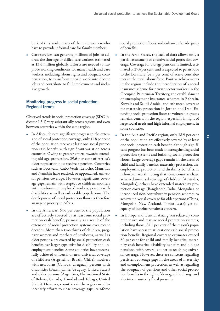bulk of this work; many of them are women who have to provide informal care for family members.

• Care services can generate millions of jobs to address the shortage of skilled care workers, estimated at 13.6 million globally. Efforts are needed to improve working conditions for many health and care workers, including labour rights and adequate compensation, to transform unpaid work into decent jobs and contribute to full employment and inclusive growth.

# Monitoring progress in social protection: Regional trends

Observed trends in social protection coverage (SDG indicator 1.3.1) vary substantially across regions and even between countries within the same region.

- In Africa, despite significant progress in the extension of social protection coverage, only 17.8 per cent of the population receive at least one social protection cash benefit, with significant variation across countries. Owing to greater efforts towards extending old-age protection, 29.6 per cent of Africa's older population now receive a pension. Countries such as Botswana, Cabo Verde, Lesotho, Mauritius and Namibia have reached, or approached, universal pension coverage. However, significant coverage gaps remain with respect to children, mothers with newborns, unemployed workers, persons with disabilities as well as vulnerable populations. The development of social protection floors is therefore an urgent priority in Africa.
- In the Americas, 67.6 per cent of the population are effectively covered by at least one social protection cash benefit, primarily as a result of the extension of social protection systems over recent decades. More than two-thirds of children, pregnant women and mothers of newborns, as well as older persons, are covered by social protection cash benefits, yet larger gaps exist for disability and unemployment benefits. Some countries have successfully achieved universal or near-universal coverage of children (Argentina, Brazil, Chile), mothers with newborns (Canada, Uruguay), persons with disabilities (Brazil, Chile, Uruguay, United States) and older persons (Argentina, Plurinational State of Bolivia, Canada, Trinidad and Tobago, United States). However, countries in the region need to intensify efforts to close coverage gaps, reinforce

social protection floors and enhance the adequacy of benefits.

- In the Arab States, the lack of data allows only a partial assessment of effective social protection coverage. Coverage for old-age pensions is limited, estimated at 27.4 per cent, and is expected to persist due to the low share (32.9 per cent) of active contributors in the total labour force. Positive achievements in the region include the introduction of a social insurance scheme for private sector workers in the Occupied Palestinian Territory, the establishment of unemployment insurance schemes in Bahrain, Kuwait and Saudi Arabia, and enhanced coverage for maternity protection in Jordan and Iraq. Extending social protection floors to vulnerable groups remains central in the region, especially in light of large social needs and high informal employment in some countries.
- In the Asia and Pacific region, only 38.9 per cent of the population are effectively covered by at least one social protection cash benefit, although significant progress has been made in strengthening social protection systems and building social protection floors. Large coverage gaps remain in the areas of child and family benefits, maternity protection, unemployment protection and disability benefits. It is however worth noting that some countries have achieved universal coverage of children (Australia, Mongolia); others have extended maternity protection coverage (Bangladesh, India, Mongolia), or introduced non-contributory pension schemes to achieve universal coverage for older persons (China, Mongolia, New Zealand, Timor-Leste); yet adequacy of benefits remains a concern.
- In Europe and Central Asia, given relatively comprehensive and mature social protection systems, including floors, 84.1 per cent of the region's population have access to at least one cash social protection benefit. Regional coverage estimates exceed 80 per cent for child and family benefits, maternity cash benefits, disability benefits and old-age pensions, with several countries reaching universal coverage. However, there are concerns regarding persistent coverage gaps in the areas of maternity and unemployment protection, as well as regarding the adequacy of pensions and other social protection benefits in the light of demographic change and short-term austerity fiscal pressures.